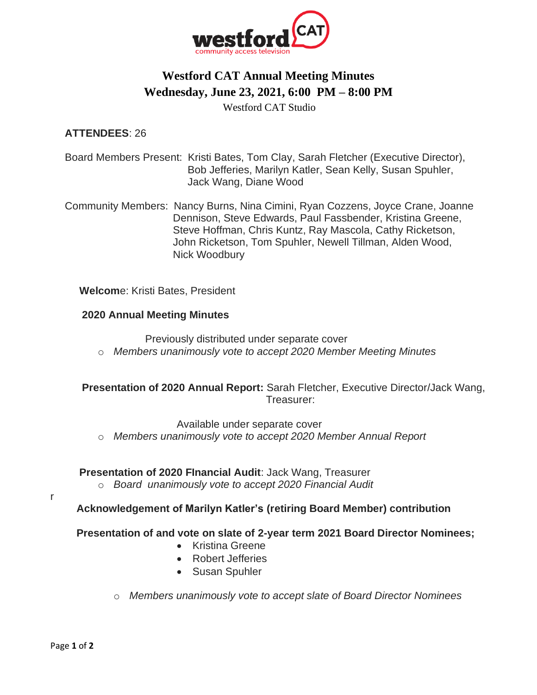

# **Westford CAT Annual Meeting Minutes Wednesday, June 23, 2021, 6:00 PM – 8:00 PM**

Westford CAT Studio

### **ATTENDEES**: 26

Board Members Present: Kristi Bates, Tom Clay, Sarah Fletcher (Executive Director), Bob Jefferies, Marilyn Katler, Sean Kelly, Susan Spuhler, Jack Wang, Diane Wood

 Community Members: Nancy Burns, Nina Cimini, Ryan Cozzens, Joyce Crane, Joanne Dennison, Steve Edwards, Paul Fassbender, Kristina Greene, Steve Hoffman, Chris Kuntz, Ray Mascola, Cathy Ricketson, John Ricketson, Tom Spuhler, Newell Tillman, Alden Wood, Nick Woodbury

**Welcom**e: Kristi Bates, President

### **2020 Annual Meeting Minutes**

Previously distributed under separate cover

o *Members unanimously vote to accept 2020 Member Meeting Minutes*

**Presentation of 2020 Annual Report:** Sarah Fletcher, Executive Director/Jack Wang, Treasurer:

Available under separate cover

o *Members unanimously vote to accept 2020 Member Annual Report*

#### **Presentation of 2020 FInancial Audit**: Jack Wang, Treasurer

o *Board unanimously vote to accept 2020 Financial Audit* 

r

**Acknowledgement of Marilyn Katler's (retiring Board Member) contribution**

**Presentation of and vote on slate of 2-year term 2021 Board Director Nominees;**

- Kristina Greene
- Robert Jefferies
- Susan Spuhler
- o *Members unanimously vote to accept slate of Board Director Nominees*